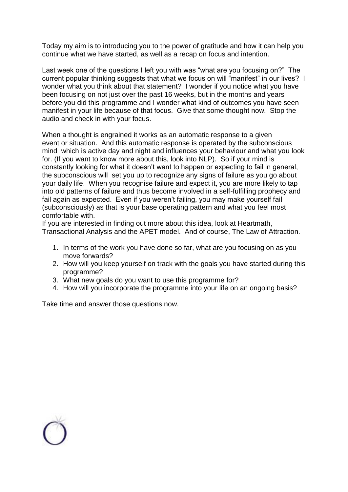Today my aim is to introducing you to the power of gratitude and how it can help you continue what we have started, as well as a recap on focus and intention.

Last week one of the questions I left you with was "what are you focusing on?" The current popular thinking suggests that what we focus on will "manifest" in our lives? I wonder what you think about that statement? I wonder if you notice what you have been focusing on not just over the past 16 weeks, but in the months and years before you did this programme and I wonder what kind of outcomes you have seen manifest in your life because of that focus. Give that some thought now. Stop the audio and check in with your focus.

When a thought is engrained it works as an automatic response to a given event or situation. And this automatic response is operated by the subconscious mind which is active day and night and influences your behaviour and what you look for. (If you want to know more about this, look into NLP). So if your mind is constantly looking for what it doesn't want to happen or expecting to fail in general, the subconscious will set you up to recognize any signs of failure as you go about your daily life. When you recognise failure and expect it, you are more likely to tap into old patterns of failure and thus become involved in a self-fulfilling prophecy and fail again as expected. Even if you weren't failing, you may make yourself fail (subconsciously) as that is your base operating pattern and what you feel most comfortable with.

If you are interested in finding out more about this idea, look at Heartmath, Transactional Analysis and the APET model. And of course, The Law of Attraction.

- 1. In terms of the work you have done so far, what are you focusing on as you move forwards?
- 2. How will you keep yourself on track with the goals you have started during this programme?
- 3. What new goals do you want to use this programme for?
- 4. How will you incorporate the programme into your life on an ongoing basis?

Take time and answer those questions now.

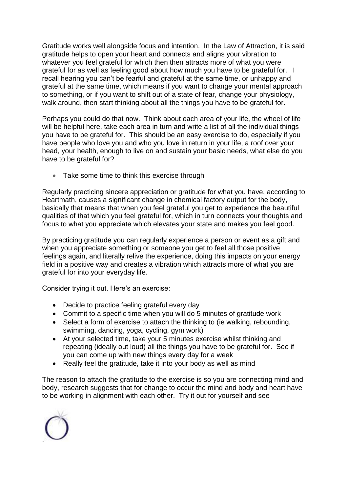Gratitude works well alongside focus and intention. In the Law of Attraction, it is said gratitude helps to open your heart and connects and aligns your vibration to whatever you feel grateful for which then then attracts more of what you were grateful for as well as feeling good about how much you have to be grateful for. I recall hearing you can't be fearful and grateful at the same time, or unhappy and grateful at the same time, which means if you want to change your mental approach to something, or if you want to shift out of a state of fear, change your physiology, walk around, then start thinking about all the things you have to be grateful for.

Perhaps you could do that now. Think about each area of your life, the wheel of life will be helpful here, take each area in turn and write a list of all the individual things you have to be grateful for. This should be an easy exercise to do, especially if you have people who love you and who you love in return in your life, a roof over your head, your health, enough to live on and sustain your basic needs, what else do you have to be grateful for?

• Take some time to think this exercise through

Regularly practicing sincere appreciation or gratitude for what you have, according to Heartmath, causes a significant change in chemical factory output for the body, basically that means that when you feel grateful you get to experience the beautiful qualities of that which you feel grateful for, which in turn connects your thoughts and focus to what you appreciate which elevates your state and makes you feel good.

By practicing gratitude you can regularly experience a person or event as a gift and when you appreciate something or someone you get to feel all those positive feelings again, and literally relive the experience, doing this impacts on your energy field in a positive way and creates a vibration which attracts more of what you are grateful for into your everyday life.

Consider trying it out. Here's an exercise:

- Decide to practice feeling grateful every day
- Commit to a specific time when you will do 5 minutes of gratitude work
- Select a form of exercise to attach the thinking to (ie walking, rebounding, swimming, dancing, yoga, cycling, gym work)
- At your selected time, take your 5 minutes exercise whilst thinking and repeating (ideally out loud) all the things you have to be grateful for. See if you can come up with new things every day for a week
- Really feel the gratitude, take it into your body as well as mind

The reason to attach the gratitude to the exercise is so you are connecting mind and body, research suggests that for change to occur the mind and body and heart have to be working in alignment with each other. Try it out for yourself and see

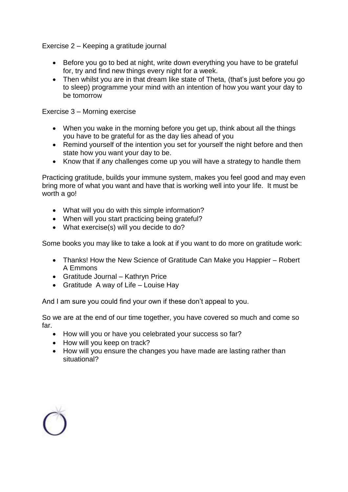Exercise 2 – Keeping a gratitude journal

- Before you go to bed at night, write down everything you have to be grateful for, try and find new things every night for a week.
- Then whilst you are in that dream like state of Theta, (that's just before you go to sleep) programme your mind with an intention of how you want your day to be tomorrow

Exercise 3 – Morning exercise

- When you wake in the morning before you get up, think about all the things you have to be grateful for as the day lies ahead of you
- Remind yourself of the intention you set for yourself the night before and then state how you want your day to be.
- Know that if any challenges come up you will have a strategy to handle them

Practicing gratitude, builds your immune system, makes you feel good and may even bring more of what you want and have that is working well into your life. It must be worth a go!

- What will you do with this simple information?
- When will you start practicing being grateful?
- What exercise(s) will you decide to do?

Some books you may like to take a look at if you want to do more on gratitude work:

- Thanks! How the New Science of Gratitude Can Make you Happier Robert A Emmons
- Gratitude Journal Kathryn Price
- Gratitude A way of Life Louise Hay

And I am sure you could find your own if these don't appeal to you.

So we are at the end of our time together, you have covered so much and come so far.

- How will you or have you celebrated your success so far?
- How will you keep on track?
- How will you ensure the changes you have made are lasting rather than situational?

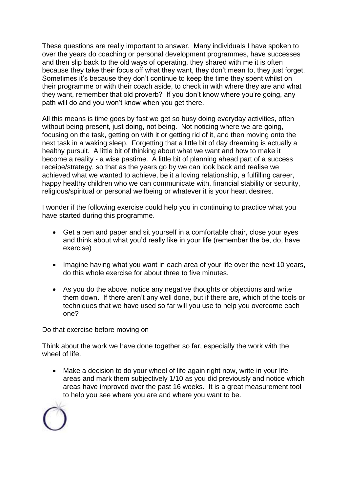These questions are really important to answer. Many individuals I have spoken to over the years do coaching or personal development programmes, have successes and then slip back to the old ways of operating, they shared with me it is often because they take their focus off what they want, they don't mean to, they just forget. Sometimes it's because they don't continue to keep the time they spent whilst on their programme or with their coach aside, to check in with where they are and what they want, remember that old proverb? If you don't know where you're going, any path will do and you won't know when you get there.

All this means is time goes by fast we get so busy doing everyday activities, often without being present, just doing, not being. Not noticing where we are going, focusing on the task, getting on with it or getting rid of it, and then moving onto the next task in a waking sleep. Forgetting that a little bit of day dreaming is actually a healthy pursuit. A little bit of thinking about what we want and how to make it become a reality - a wise pastime. A little bit of planning ahead part of a success receipe/strategy, so that as the years go by we can look back and realise we achieved what we wanted to achieve, be it a loving relationship, a fulfilling career, happy healthy children who we can communicate with, financial stability or security, religious/spiritual or personal wellbeing or whatever it is your heart desires.

I wonder if the following exercise could help you in continuing to practice what you have started during this programme.

- Get a pen and paper and sit yourself in a comfortable chair, close your eyes and think about what you'd really like in your life (remember the be, do, have exercise)
- Imagine having what you want in each area of your life over the next 10 years, do this whole exercise for about three to five minutes.
- As you do the above, notice any negative thoughts or objections and write them down. If there aren't any well done, but if there are, which of the tools or techniques that we have used so far will you use to help you overcome each one?

Do that exercise before moving on

Think about the work we have done together so far, especially the work with the wheel of life.

• Make a decision to do your wheel of life again right now, write in your life areas and mark them subjectively 1/10 as you did previously and notice which areas have improved over the past 16 weeks. It is a great measurement tool to help you see where you are and where you want to be.

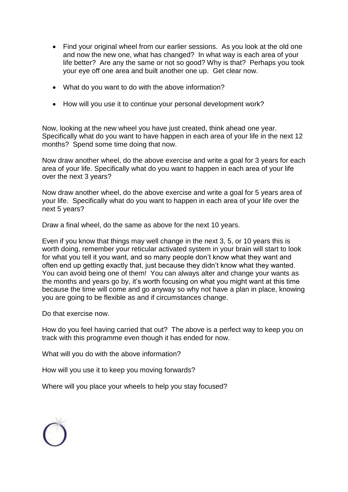- Find your original wheel from our earlier sessions. As you look at the old one and now the new one, what has changed? In what way is each area of your life better? Are any the same or not so good? Why is that? Perhaps you took your eye off one area and built another one up. Get clear now.
- What do you want to do with the above information?
- How will you use it to continue your personal development work?

Now, looking at the new wheel you have just created, think ahead one year. Specifically what do you want to have happen in each area of your life in the next 12 months? Spend some time doing that now.

Now draw another wheel, do the above exercise and write a goal for 3 years for each area of your life. Specifically what do you want to happen in each area of your life over the next 3 years?

Now draw another wheel, do the above exercise and write a goal for 5 years area of your life. Specifically what do you want to happen in each area of your life over the next 5 years?

Draw a final wheel, do the same as above for the next 10 years.

Even if you know that things may well change in the next 3, 5, or 10 years this is worth doing, remember your reticular activated system in your brain will start to look for what you tell it you want, and so many people don't know what they want and often end up getting exactly that, just because they didn't know what they wanted. You can avoid being one of them! You can always alter and change your wants as the months and years go by, it's worth focusing on what you might want at this time because the time will come and go anyway so why not have a plan in place, knowing you are going to be flexible as and if circumstances change.

Do that exercise now.

How do you feel having carried that out? The above is a perfect way to keep you on track with this programme even though it has ended for now.

What will you do with the above information?

How will you use it to keep you moving forwards?

Where will you place your wheels to help you stay focused?

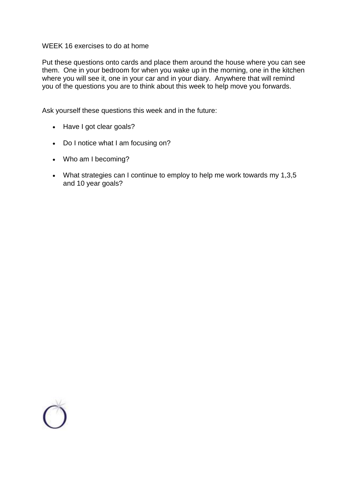## WEEK 16 exercises to do at home

Put these questions onto cards and place them around the house where you can see them. One in your bedroom for when you wake up in the morning, one in the kitchen where you will see it, one in your car and in your diary. Anywhere that will remind you of the questions you are to think about this week to help move you forwards.

Ask yourself these questions this week and in the future:

- Have I got clear goals?
- Do I notice what I am focusing on?
- Who am I becoming?
- What strategies can I continue to employ to help me work towards my 1,3,5 and 10 year goals?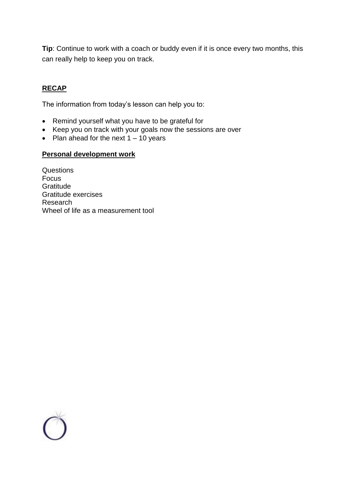**Tip**: Continue to work with a coach or buddy even if it is once every two months, this can really help to keep you on track.

## **RECAP**

The information from today's lesson can help you to:

- Remind yourself what you have to be grateful for
- Keep you on track with your goals now the sessions are over
- Plan ahead for the next  $1 10$  years

## **Personal development work**

**Questions** Focus **Gratitude** Gratitude exercises Research Wheel of life as a measurement tool